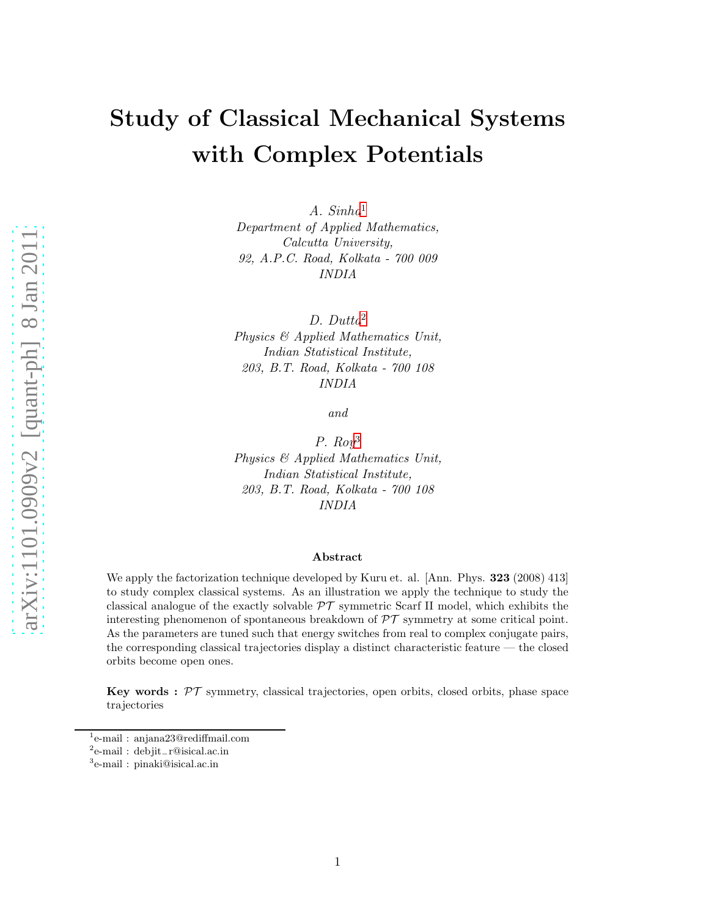# Study of Classical Mechanical Systems with Complex Potentials

A. Sinha[1](#page-0-0) Department of Applied Mathematics, Calcutta University, 92, A.P.C. Road, Kolkata - 700 009 INDIA

D. Dutta[2](#page-0-1) Physics & Applied Mathematics Unit, Indian Statistical Institute, 203, B.T. Road, Kolkata - 700 108 INDIA

and

P.  $Row^3$  $Row^3$ Physics & Applied Mathematics Unit, Indian Statistical Institute, 203, B.T. Road, Kolkata - 700 108 INDIA

#### Abstract

We apply the factorization technique developed by Kuru et. al. [Ann. Phys. **323** (2008) 413] to study complex classical systems. As an illustration we apply the technique to study the classical analogue of the exactly solvable  $\mathcal{PT}$  symmetric Scarf II model, which exhibits the interesting phenomenon of spontaneous breakdown of  $\mathcal{PT}$  symmetry at some critical point. As the parameters are tuned such that energy switches from real to complex conjugate pairs, the corresponding classical trajectories display a distinct characteristic feature — the closed orbits become open ones.

**Key words :**  $\mathcal{PT}$  symmetry, classical trajectories, open orbits, closed orbits, phase space trajectories

<sup>1</sup> e-mail : anjana23@rediffmail.com

<span id="page-0-0"></span><sup>2</sup> e-mail : debjit−r@isical.ac.in

<span id="page-0-2"></span><span id="page-0-1"></span><sup>3</sup> e-mail : pinaki@isical.ac.in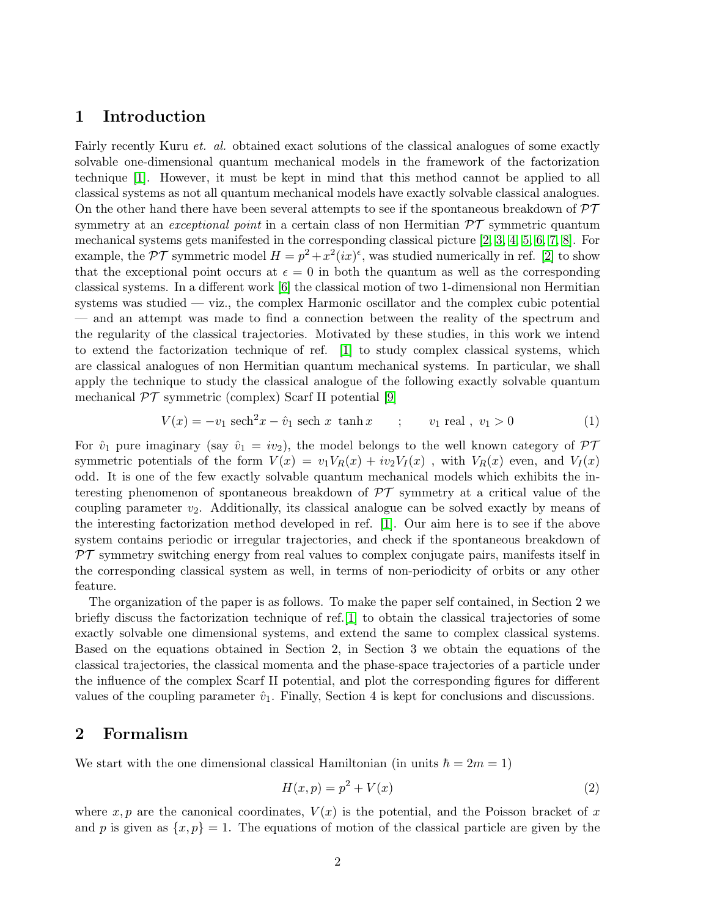## 1 Introduction

Fairly recently Kuru *et. al.* obtained exact solutions of the classical analogues of some exactly solvable one-dimensional quantum mechanical models in the framework of the factorization technique [\[1\]](#page-11-0). However, it must be kept in mind that this method cannot be applied to all classical systems as not all quantum mechanical models have exactly solvable classical analogues. On the other hand there have been several attempts to see if the spontaneous breakdown of  $\mathcal{PT}$ symmetry at an *exceptional point* in a certain class of non-Hermitian  $\mathcal{PT}$  symmetric quantum mechanical systems gets manifested in the corresponding classical picture [\[2,](#page-11-1) [3,](#page-11-2) [4,](#page-11-3) [5,](#page-11-4) [6,](#page-11-5) [7,](#page-11-6) [8\]](#page-11-7). For example, the  $\mathcal{PT}$  symmetric model  $H = p^2 + x^2(ix)^{\epsilon}$ , was studied numerically in ref. [\[2\]](#page-11-1) to show that the exceptional point occurs at  $\epsilon = 0$  in both the quantum as well as the corresponding classical systems. In a different work [\[6\]](#page-11-5) the classical motion of two 1-dimensional non Hermitian systems was studied — viz., the complex Harmonic oscillator and the complex cubic potential — and an attempt was made to find a connection between the reality of the spectrum and the regularity of the classical trajectories. Motivated by these studies, in this work we intend to extend the factorization technique of ref. [\[1\]](#page-11-0) to study complex classical systems, which are classical analogues of non Hermitian quantum mechanical systems. In particular, we shall apply the technique to study the classical analogue of the following exactly solvable quantum mechanical  $\mathcal{PT}$  symmetric (complex) Scarf II potential [\[9\]](#page-11-8)

$$
V(x) = -v_1 \text{ sech}^2 x - \hat{v}_1 \text{ sech } x \text{ tanh } x \qquad ; \qquad v_1 \text{ real } , \ v_1 > 0 \tag{1}
$$

For  $\hat{v}_1$  pure imaginary (say  $\hat{v}_1 = i v_2$ ), the model belongs to the well known category of  $\mathcal{PT}$ symmetric potentials of the form  $V(x) = v_1 V_R(x) + i v_2 V_I(x)$ , with  $V_R(x)$  even, and  $V_I(x)$ odd. It is one of the few exactly solvable quantum mechanical models which exhibits the interesting phenomenon of spontaneous breakdown of  $\mathcal{PT}$  symmetry at a critical value of the coupling parameter  $v_2$ . Additionally, its classical analogue can be solved exactly by means of the interesting factorization method developed in ref. [\[1\]](#page-11-0). Our aim here is to see if the above system contains periodic or irregular trajectories, and check if the spontaneous breakdown of  $PT$  symmetry switching energy from real values to complex conjugate pairs, manifests itself in the corresponding classical system as well, in terms of non-periodicity of orbits or any other feature.

The organization of the paper is as follows. To make the paper self contained, in Section 2 we briefly discuss the factorization technique of ref.[\[1\]](#page-11-0) to obtain the classical trajectories of some exactly solvable one dimensional systems, and extend the same to complex classical systems. Based on the equations obtained in Section 2, in Section 3 we obtain the equations of the classical trajectories, the classical momenta and the phase-space trajectories of a particle under the influence of the complex Scarf II potential, and plot the corresponding figures for different values of the coupling parameter  $\hat{v}_1$ . Finally, Section 4 is kept for conclusions and discussions.

### 2 Formalism

We start with the one dimensional classical Hamiltonian (in units  $\hbar = 2m = 1$ )

$$
H(x,p) = p^2 + V(x)
$$
\n<sup>(2)</sup>

where  $x, p$  are the canonical coordinates,  $V(x)$  is the potential, and the Poisson bracket of x and p is given as  $\{x, p\} = 1$ . The equations of motion of the classical particle are given by the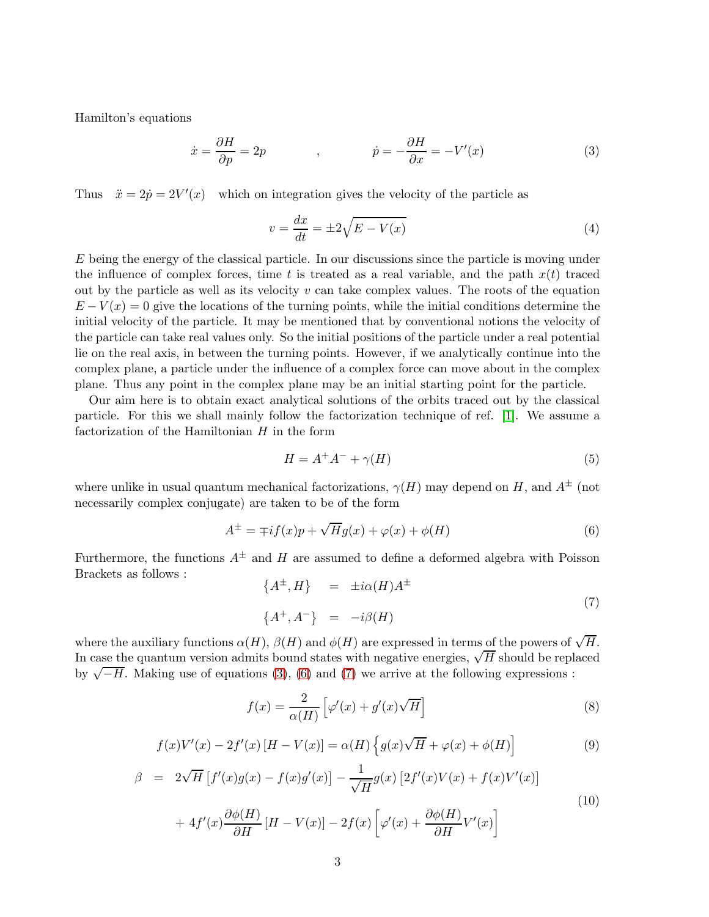Hamilton's equations

<span id="page-2-0"></span>
$$
\dot{x} = \frac{\partial H}{\partial p} = 2p \qquad , \qquad \dot{p} = -\frac{\partial H}{\partial x} = -V'(x) \qquad (3)
$$

Thus  $\ddot{x} = 2\dot{p} = 2V'(x)$  which on integration gives the velocity of the particle as

$$
v = \frac{dx}{dt} = \pm 2\sqrt{E - V(x)}\tag{4}
$$

 $E$  being the energy of the classical particle. In our discussions since the particle is moving under the influence of complex forces, time t is treated as a real variable, and the path  $x(t)$  traced out by the particle as well as its velocity  $v$  can take complex values. The roots of the equation  $E - V(x) = 0$  give the locations of the turning points, while the initial conditions determine the initial velocity of the particle. It may be mentioned that by conventional notions the velocity of the particle can take real values only. So the initial positions of the particle under a real potential lie on the real axis, in between the turning points. However, if we analytically continue into the complex plane, a particle under the influence of a complex force can move about in the complex plane. Thus any point in the complex plane may be an initial starting point for the particle.

Our aim here is to obtain exact analytical solutions of the orbits traced out by the classical particle. For this we shall mainly follow the factorization technique of ref. [\[1\]](#page-11-0). We assume a factorization of the Hamiltonian  $H$  in the form

$$
H = A^{+}A^{-} + \gamma(H) \tag{5}
$$

where unlike in usual quantum mechanical factorizations,  $\gamma(H)$  may depend on H, and  $A^{\pm}$  (not necessarily complex conjugate) are taken to be of the form

<span id="page-2-1"></span>
$$
A^{\pm} = \mp i f(x) p + \sqrt{H} g(x) + \varphi(x) + \phi(H)
$$
\n(6)

Furthermore, the functions  $A^{\pm}$  and H are assumed to define a deformed algebra with Poisson Brackets as follows :

<span id="page-2-2"></span>
$$
\{A^{\pm}, H\} = \pm i\alpha(H)A^{\pm}
$$
  

$$
\{A^{+}, A^{-}\} = -i\beta(H)
$$
 (7)

where the auxiliary functions  $\alpha(H)$ ,  $\beta(H)$  and  $\phi(H)$  are expressed in terms of the powers of  $\sqrt{H}$ . In case the quantum version admits bound states with negative energies,  $\sqrt{H}$  should be replaced by  $\sqrt{-H}$ . Making use of equations [\(3\)](#page-2-0), [\(6\)](#page-2-1) and [\(7\)](#page-2-2) we arrive at the following expressions :

<span id="page-2-3"></span>
$$
f(x) = \frac{2}{\alpha(H)} \left[ \varphi'(x) + g'(x)\sqrt{H} \right]
$$
 (8)

<span id="page-2-4"></span>
$$
f(x)V'(x) - 2f'(x)[H - V(x)] = \alpha(H)\left\{g(x)\sqrt{H} + \varphi(x) + \phi(H)\right\}
$$
\n(9)

<span id="page-2-5"></span>
$$
\beta = 2\sqrt{H} \left[ f'(x)g(x) - f(x)g'(x) \right] - \frac{1}{\sqrt{H}} g(x) \left[ 2f'(x)V(x) + f(x)V'(x) \right]
$$
  
+ 
$$
4f'(x)\frac{\partial \phi(H)}{\partial H} \left[ H - V(x) \right] - 2f(x) \left[ \varphi'(x) + \frac{\partial \phi(H)}{\partial H} V'(x) \right]
$$
(10)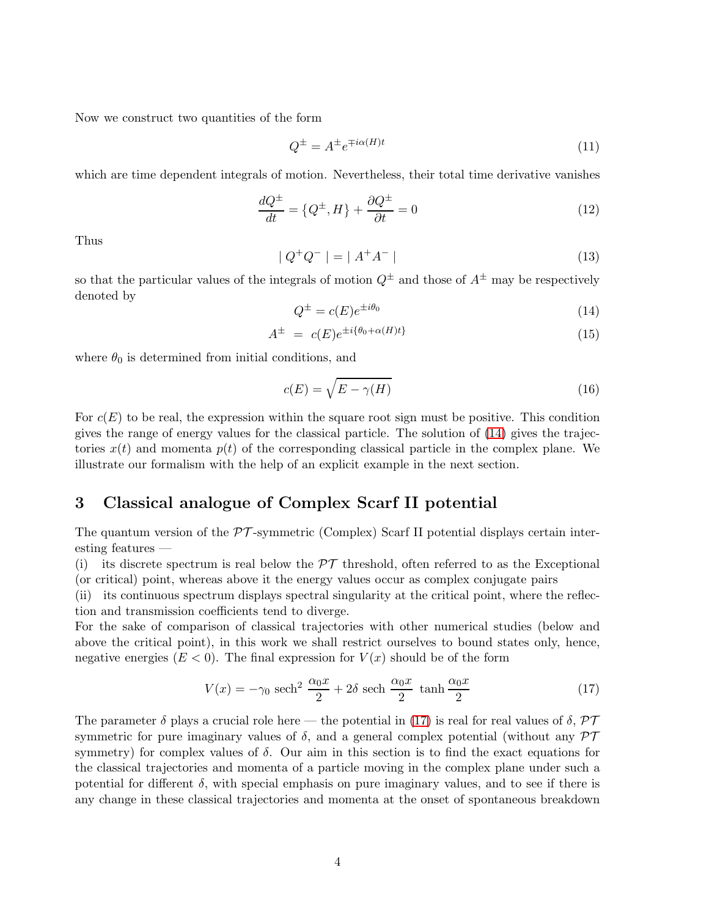Now we construct two quantities of the form

$$
Q^{\pm} = A^{\pm} e^{\mp i\alpha(H)t} \tag{11}
$$

which are time dependent integrals of motion. Nevertheless, their total time derivative vanishes

$$
\frac{dQ^{\pm}}{dt} = \{Q^{\pm}, H\} + \frac{\partial Q^{\pm}}{\partial t} = 0\tag{12}
$$

Thus

$$
|Q^{+}Q^{-}| = |A^{+}A^{-}| \tag{13}
$$

so that the particular values of the integrals of motion  $Q^{\pm}$  and those of  $A^{\pm}$  may be respectively denoted by

<span id="page-3-0"></span>
$$
Q^{\pm} = c(E)e^{\pm i\theta_0} \tag{14}
$$

$$
A^{\pm} = c(E)e^{\pm i\{\theta_0 + \alpha(H)t\}} \tag{15}
$$

where  $\theta_0$  is determined from initial conditions, and

<span id="page-3-2"></span>
$$
c(E) = \sqrt{E - \gamma(H)}\tag{16}
$$

For  $c(E)$  to be real, the expression within the square root sign must be positive. This condition gives the range of energy values for the classical particle. The solution of [\(14\)](#page-3-0) gives the trajectories  $x(t)$  and momenta  $p(t)$  of the corresponding classical particle in the complex plane. We illustrate our formalism with the help of an explicit example in the next section.

## 3 Classical analogue of Complex Scarf II potential

The quantum version of the  $\mathcal{PT}$ -symmetric (Complex) Scarf II potential displays certain interesting features —

(i) its discrete spectrum is real below the  $\mathcal{PT}$  threshold, often referred to as the Exceptional (or critical) point, whereas above it the energy values occur as complex conjugate pairs

(ii) its continuous spectrum displays spectral singularity at the critical point, where the reflection and transmission coefficients tend to diverge.

For the sake of comparison of classical trajectories with other numerical studies (below and above the critical point), in this work we shall restrict ourselves to bound states only, hence, negative energies  $(E < 0)$ . The final expression for  $V(x)$  should be of the form

<span id="page-3-1"></span>
$$
V(x) = -\gamma_0 \text{ sech}^2 \frac{\alpha_0 x}{2} + 2\delta \text{ sech } \frac{\alpha_0 x}{2} \text{ tanh } \frac{\alpha_0 x}{2}
$$
 (17)

The parameter  $\delta$  plays a crucial role here — the potential in [\(17\)](#page-3-1) is real for real values of  $\delta$ ,  $\mathcal{PT}$ symmetric for pure imaginary values of  $\delta$ , and a general complex potential (without any  $\mathcal{PT}$ symmetry) for complex values of  $\delta$ . Our aim in this section is to find the exact equations for the classical trajectories and momenta of a particle moving in the complex plane under such a potential for different  $\delta$ , with special emphasis on pure imaginary values, and to see if there is any change in these classical trajectories and momenta at the onset of spontaneous breakdown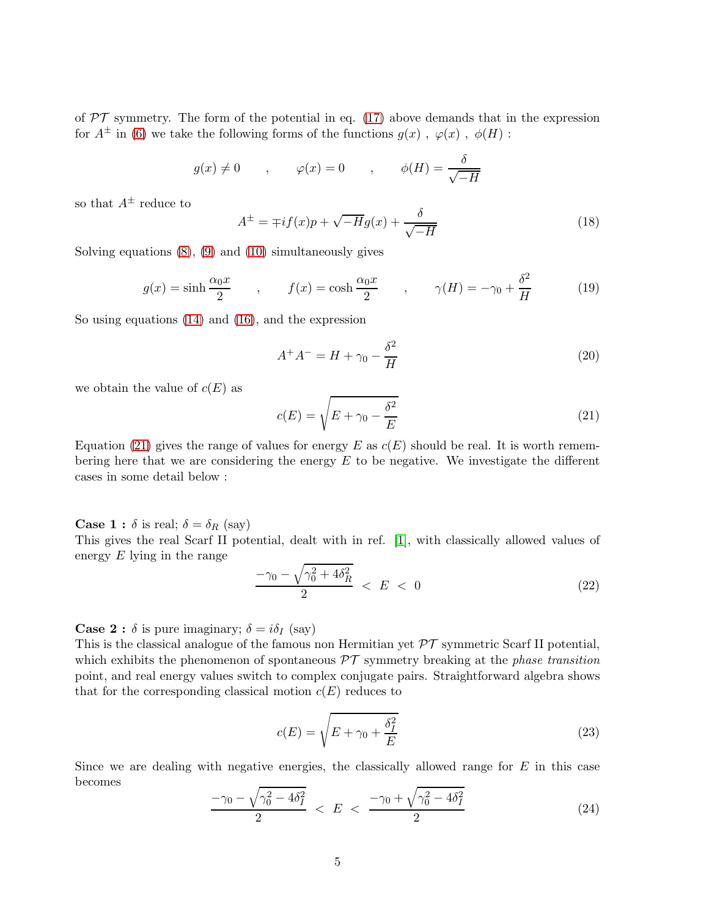of  $PT$  symmetry. The form of the potential in eq. [\(17\)](#page-3-1) above demands that in the expression for  $A^{\pm}$  in [\(6\)](#page-2-1) we take the following forms of the functions  $g(x)$ ,  $\varphi(x)$ ,  $\phi(H)$ :

$$
g(x) \neq 0
$$
,  $\varphi(x) = 0$ ,  $\phi(H) = \frac{\delta}{\sqrt{-H}}$ 

so that  $A^{\pm}$  reduce to

$$
A^{\pm} = \mp if(x)p + \sqrt{-H}g(x) + \frac{\delta}{\sqrt{-H}}
$$
\n(18)

Solving equations [\(8\)](#page-2-3), [\(9\)](#page-2-4) and [\(10\)](#page-2-5) simultaneously gives

$$
g(x) = \sinh\frac{\alpha_0 x}{2} \qquad , \qquad f(x) = \cosh\frac{\alpha_0 x}{2} \qquad , \qquad \gamma(H) = -\gamma_0 + \frac{\delta^2}{H} \tag{19}
$$

So using equations [\(14\)](#page-3-0) and [\(16\)](#page-3-2), and the expression

$$
A^{+}A^{-} = H + \gamma_0 - \frac{\delta^2}{H}
$$
 (20)

we obtain the value of  $c(E)$  as

<span id="page-4-0"></span>
$$
c(E) = \sqrt{E + \gamma_0 - \frac{\delta^2}{E}}
$$
\n(21)

Equation [\(21\)](#page-4-0) gives the range of values for energy E as  $c(E)$  should be real. It is worth remembering here that we are considering the energy  $E$  to be negative. We investigate the different cases in some detail below :

**Case 1**:  $\delta$  is real;  $\delta = \delta_R$  (say)

This gives the real Scarf II potential, dealt with in ref. [\[1\]](#page-11-0), with classically allowed values of energy  $E$  lying in the range

$$
\frac{-\gamma_0 - \sqrt{\gamma_0^2 + 4\delta_R^2}}{2} < E < 0 \tag{22}
$$

**Case 2 :**  $\delta$  is pure imaginary;  $\delta = i\delta_I$  (say)

This is the classical analogue of the famous non Hermitian yet  $\mathcal{PT}$  symmetric Scarf II potential, which exhibits the phenomenon of spontaneous  $\mathcal{PT}$  symmetry breaking at the *phase transition* point, and real energy values switch to complex conjugate pairs. Straightforward algebra shows that for the corresponding classical motion  $c(E)$  reduces to

$$
c(E) = \sqrt{E + \gamma_0 + \frac{\delta_I^2}{E}}
$$
\n(23)

Since we are dealing with negative energies, the classically allowed range for  $E$  in this case becomes

<span id="page-4-1"></span>
$$
\frac{-\gamma_0 - \sqrt{\gamma_0^2 - 4\delta_I^2}}{2} < E < \frac{-\gamma_0 + \sqrt{\gamma_0^2 - 4\delta_I^2}}{2} \tag{24}
$$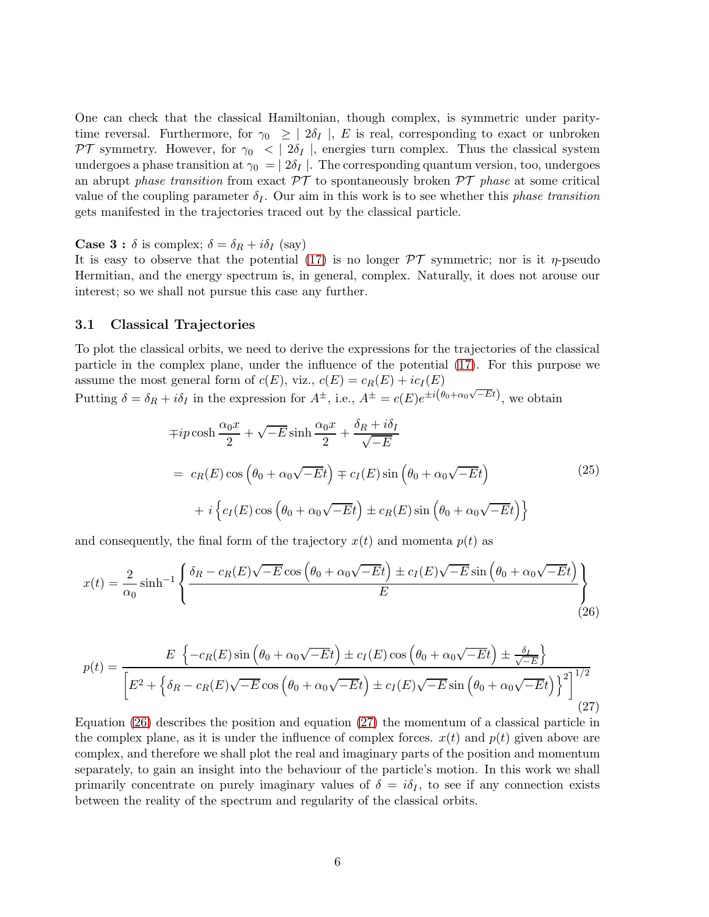One can check that the classical Hamiltonian, though complex, is symmetric under paritytime reversal. Furthermore, for  $\gamma_0 \geq | 2\delta_I |$ , E is real, corresponding to exact or unbroken PT symmetry. However, for  $\gamma_0$   $\langle \frac{\partial f}{\partial \rho} \rho \rangle$ , energies turn complex. Thus the classical system undergoes a phase transition at  $\gamma_0 = | 2\delta_I |$ . The corresponding quantum version, too, undergoes an abrupt phase transition from exact  $\mathcal{PT}$  to spontaneously broken  $\mathcal{PT}$  phase at some critical value of the coupling parameter  $\delta_I$ . Our aim in this work is to see whether this phase transition gets manifested in the trajectories traced out by the classical particle.

**Case 3 :**  $\delta$  is complex;  $\delta = \delta_R + i\delta_I$  (say)

It is easy to observe that the potential [\(17\)](#page-3-1) is no longer  $\mathcal{PT}$  symmetric; nor is it  $\eta$ -pseudo Hermitian, and the energy spectrum is, in general, complex. Naturally, it does not arouse our interest; so we shall not pursue this case any further.

#### 3.1 Classical Trajectories

To plot the classical orbits, we need to derive the expressions for the trajectories of the classical particle in the complex plane, under the influence of the potential [\(17\)](#page-3-1). For this purpose we assume the most general form of  $c(E)$ , viz.,  $c(E) = c_R(E) + ic_I(E)$ √

Putting 
$$
\delta = \delta_R + i\delta_I
$$
 in the expression for  $A^{\pm}$ , i.e.,  $A^{\pm} = c(E)e^{\pm i(\theta_0 + \alpha_0\sqrt{-E}t)}$ , we obtain

$$
\mp ip \cosh \frac{\alpha_0 x}{2} + \sqrt{-E} \sinh \frac{\alpha_0 x}{2} + \frac{\delta_R + i\delta_I}{\sqrt{-E}}
$$
\n
$$
= c_R(E) \cos \left(\theta_0 + \alpha_0 \sqrt{-E}t\right) \mp c_I(E) \sin \left(\theta_0 + \alpha_0 \sqrt{-E}t\right)
$$
\n
$$
+ i \left\{c_I(E) \cos \left(\theta_0 + \alpha_0 \sqrt{-E}t\right) \pm c_R(E) \sin \left(\theta_0 + \alpha_0 \sqrt{-E}t\right)\right\}
$$
\n(25)

and consequently, the final form of the trajectory  $x(t)$  and momenta  $p(t)$  as

<span id="page-5-0"></span>
$$
x(t) = \frac{2}{\alpha_0} \sinh^{-1} \left\{ \frac{\delta_R - c_R(E)\sqrt{-E} \cos\left(\theta_0 + \alpha_0\sqrt{-E}t\right) \pm c_I(E)\sqrt{-E} \sin\left(\theta_0 + \alpha_0\sqrt{-E}t\right)}{E} \right\}
$$
(26)

<span id="page-5-1"></span>
$$
p(t) = \frac{E\left\{-c_R(E)\sin\left(\theta_0 + \alpha_0\sqrt{-E}t\right) \pm c_I(E)\cos\left(\theta_0 + \alpha_0\sqrt{-E}t\right) \pm \frac{\delta_I}{\sqrt{-E}}\right\}}{\left[E^2 + \left\{\delta_R - c_R(E)\sqrt{-E}\cos\left(\theta_0 + \alpha_0\sqrt{-E}t\right) \pm c_I(E)\sqrt{-E}\sin\left(\theta_0 + \alpha_0\sqrt{-E}t\right)\right\}^2\right]^{1/2}}
$$
\n(27)

Equation [\(26\)](#page-5-0) describes the position and equation [\(27\)](#page-5-1) the momentum of a classical particle in the complex plane, as it is under the influence of complex forces.  $x(t)$  and  $p(t)$  given above are complex, and therefore we shall plot the real and imaginary parts of the position and momentum separately, to gain an insight into the behaviour of the particle's motion. In this work we shall primarily concentrate on purely imaginary values of  $\delta = i\delta_I$ , to see if any connection exists between the reality of the spectrum and regularity of the classical orbits.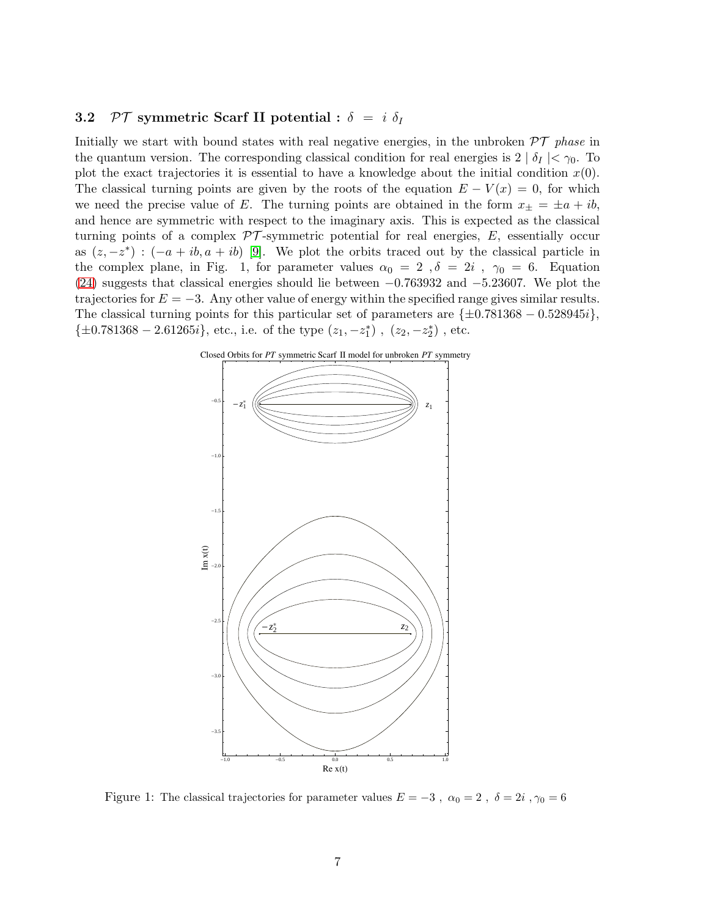#### 3.2 PT symmetric Scarf II potential :  $\delta = i \delta_I$

Initially we start with bound states with real negative energies, in the unbroken  $\mathcal{PT}$  phase in the quantum version. The corresponding classical condition for real energies is  $2 | \delta_I | < \gamma_0$ . To plot the exact trajectories it is essential to have a knowledge about the initial condition  $x(0)$ . The classical turning points are given by the roots of the equation  $E - V(x) = 0$ , for which we need the precise value of E. The turning points are obtained in the form  $x_{\pm} = \pm a + ib$ , and hence are symmetric with respect to the imaginary axis. This is expected as the classical turning points of a complex  $\mathcal{PT}$ -symmetric potential for real energies, E, essentially occur as  $(z, -z^*)$ :  $(-a + ib, a + ib)$  [\[9\]](#page-11-8). We plot the orbits traced out by the classical particle in the complex plane, in Fig. 1, for parameter values  $\alpha_0 = 2$ ,  $\delta = 2i$ ,  $\gamma_0 = 6$ . Equation [\(24\)](#page-4-1) suggests that classical energies should lie between  $-0.763932$  and  $-5.23607$ . We plot the trajectories for  $E = -3$ . Any other value of energy within the specified range gives similar results. The classical turning points for this particular set of parameters are  $\{\pm 0.781368 - 0.528945i\}$ ,  $\{\pm 0.781368 - 2.61265i\}, \text{ etc., i.e. of the type } (z_1, -z_1^*) , (z_2, -z_2^*) , \text{ etc.}$ 



Figure 1: The classical trajectories for parameter values  $E = -3$ ,  $\alpha_0 = 2$ ,  $\delta = 2i$ ,  $\gamma_0 = 6$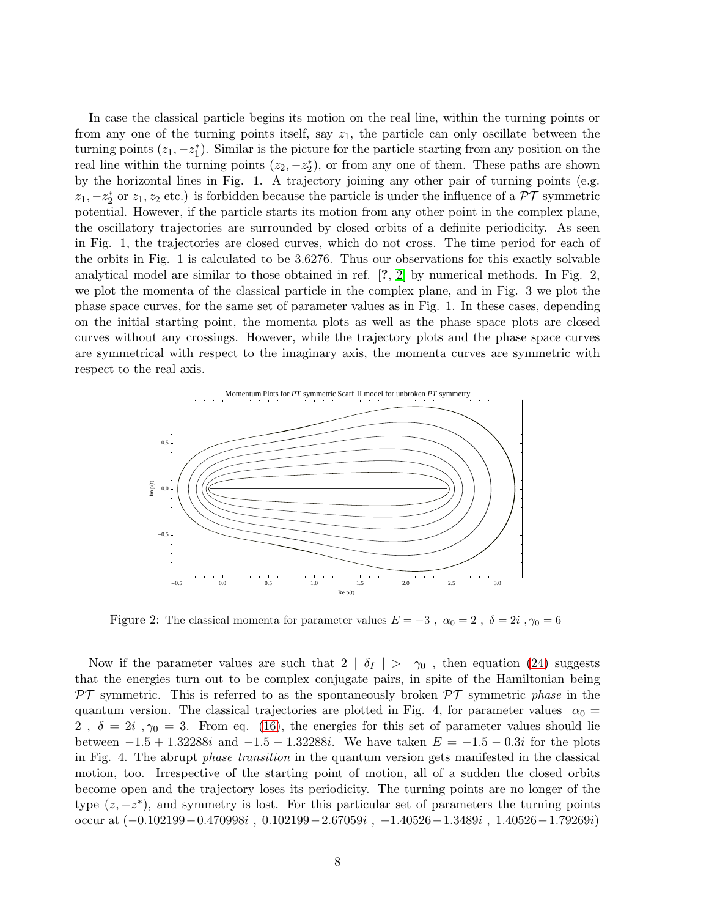In case the classical particle begins its motion on the real line, within the turning points or from any one of the turning points itself, say  $z_1$ , the particle can only oscillate between the turning points  $(z_1, -z_1^*)$ . Similar is the picture for the particle starting from any position on the real line within the turning points  $(z_2, -z_2^*)$ , or from any one of them. These paths are shown by the horizontal lines in Fig. 1. A trajectory joining any other pair of turning points (e.g.  $z_1, -z_2^*$  or  $z_1, z_2$  etc.) is forbidden because the particle is under the influence of a  $\mathcal{PT}$  symmetric potential. However, if the particle starts its motion from any other point in the complex plane, the oscillatory trajectories are surrounded by closed orbits of a definite periodicity. As seen in Fig. 1, the trajectories are closed curves, which do not cross. The time period for each of the orbits in Fig. 1 is calculated to be 3.6276. Thus our observations for this exactly solvable analytical model are similar to those obtained in ref. [?, [2\]](#page-11-1) by numerical methods. In Fig. 2, we plot the momenta of the classical particle in the complex plane, and in Fig. 3 we plot the phase space curves, for the same set of parameter values as in Fig. 1. In these cases, depending on the initial starting point, the momenta plots as well as the phase space plots are closed curves without any crossings. However, while the trajectory plots and the phase space curves are symmetrical with respect to the imaginary axis, the momenta curves are symmetric with respect to the real axis.



Figure 2: The classical momenta for parameter values  $E = -3$ ,  $\alpha_0 = 2$ ,  $\delta = 2i$ ,  $\gamma_0 = 6$ 

Now if the parameter values are such that  $2 | \delta_I | > \gamma_0$ , then equation [\(24\)](#page-4-1) suggests that the energies turn out to be complex conjugate pairs, in spite of the Hamiltonian being  $PT$  symmetric. This is referred to as the spontaneously broken  $PT$  symmetric phase in the quantum version. The classical trajectories are plotted in Fig. 4, for parameter values  $\alpha_0 =$ 2,  $\delta = 2i$ ,  $\gamma_0 = 3$ . From eq. [\(16\)](#page-3-2), the energies for this set of parameter values should lie between  $-1.5 + 1.32288i$  and  $-1.5 - 1.32288i$ . We have taken  $E = -1.5 - 0.3i$  for the plots in Fig. 4. The abrupt phase transition in the quantum version gets manifested in the classical motion, too. Irrespective of the starting point of motion, all of a sudden the closed orbits become open and the trajectory loses its periodicity. The turning points are no longer of the type  $(z, -z^*)$ , and symmetry is lost. For this particular set of parameters the turning points occur at  $(-0.102199 - 0.470998i, 0.102199 - 2.67059i, -1.40526 - 1.3489i, 1.40526 - 1.79269i)$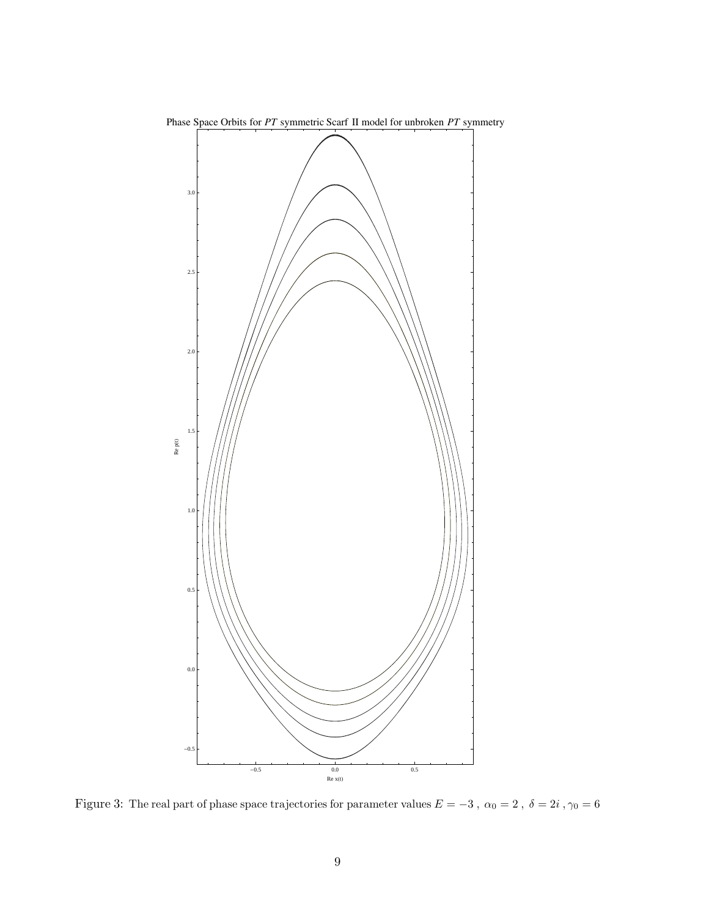

Phase Space Orbits for *PT* symmetric Scarf II model for unbroken *PT* symmetry

Figure 3: The real part of phase space trajectories for parameter values  $E=-3$  ,  $\alpha_0=2$  ,  $\delta=2i$  ,  $\gamma_0=6$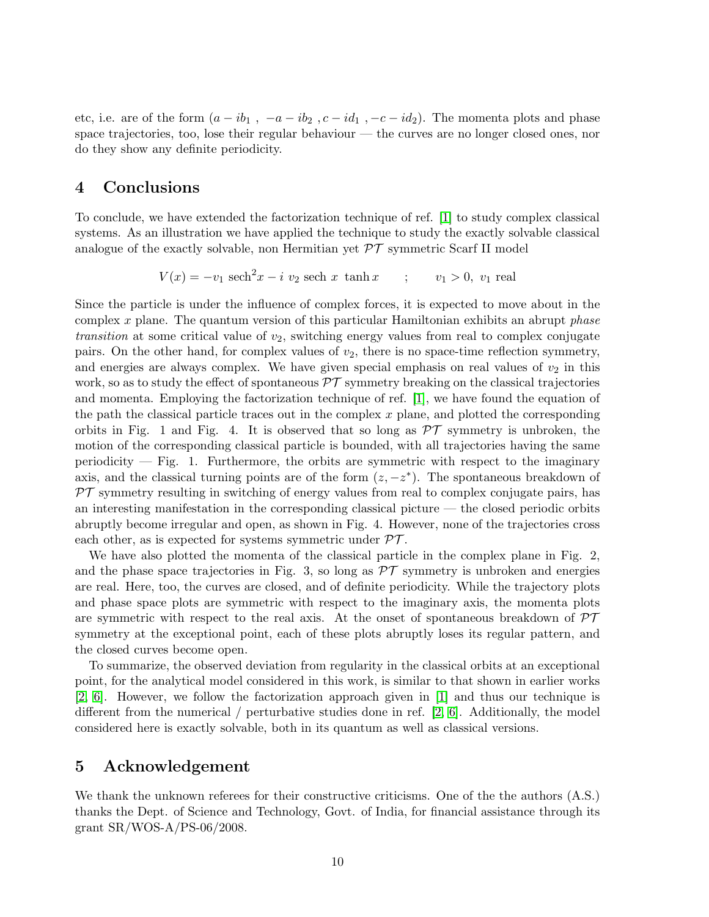etc, i.e. are of the form  $(a - ib_1, -a - ib_2, c - id_1, -c - id_2)$ . The momenta plots and phase space trajectories, too, lose their regular behaviour — the curves are no longer closed ones, nor do they show any definite periodicity.

## 4 Conclusions

To conclude, we have extended the factorization technique of ref. [\[1\]](#page-11-0) to study complex classical systems. As an illustration we have applied the technique to study the exactly solvable classical analogue of the exactly solvable, non Hermitian yet  $\mathcal{PT}$  symmetric Scarf II model

$$
V(x) = -v_1 \operatorname{sech}^2 x - i v_2 \operatorname{sech} x \tanh x \qquad ; \qquad v_1 > 0, v_1 \text{ real}
$$

Since the particle is under the influence of complex forces, it is expected to move about in the complex x plane. The quantum version of this particular Hamiltonian exhibits an abrupt phase transition at some critical value of  $v_2$ , switching energy values from real to complex conjugate pairs. On the other hand, for complex values of  $v_2$ , there is no space-time reflection symmetry, and energies are always complex. We have given special emphasis on real values of  $v_2$  in this work, so as to study the effect of spontaneous  $\mathcal{PT}$  symmetry breaking on the classical trajectories and momenta. Employing the factorization technique of ref. [\[1\]](#page-11-0), we have found the equation of the path the classical particle traces out in the complex  $x$  plane, and plotted the corresponding orbits in Fig. 1 and Fig. 4. It is observed that so long as  $\mathcal{PT}$  symmetry is unbroken, the motion of the corresponding classical particle is bounded, with all trajectories having the same periodicity  $-$  Fig. 1. Furthermore, the orbits are symmetric with respect to the imaginary axis, and the classical turning points are of the form  $(z, -z^*)$ . The spontaneous breakdown of  $PT$  symmetry resulting in switching of energy values from real to complex conjugate pairs, has an interesting manifestation in the corresponding classical picture — the closed periodic orbits abruptly become irregular and open, as shown in Fig. 4. However, none of the trajectories cross each other, as is expected for systems symmetric under  $\mathcal{PT}$ .

We have also plotted the momenta of the classical particle in the complex plane in Fig. 2, and the phase space trajectories in Fig. 3, so long as  $\mathcal{PT}$  symmetry is unbroken and energies are real. Here, too, the curves are closed, and of definite periodicity. While the trajectory plots and phase space plots are symmetric with respect to the imaginary axis, the momenta plots are symmetric with respect to the real axis. At the onset of spontaneous breakdown of  $\mathcal{PT}$ symmetry at the exceptional point, each of these plots abruptly loses its regular pattern, and the closed curves become open.

To summarize, the observed deviation from regularity in the classical orbits at an exceptional point, for the analytical model considered in this work, is similar to that shown in earlier works [\[2,](#page-11-1) [6\]](#page-11-5). However, we follow the factorization approach given in [\[1\]](#page-11-0) and thus our technique is different from the numerical  $/$  perturbative studies done in ref. [\[2,](#page-11-1) [6\]](#page-11-5). Additionally, the model considered here is exactly solvable, both in its quantum as well as classical versions.

## 5 Acknowledgement

We thank the unknown referees for their constructive criticisms. One of the the authors (A.S.) thanks the Dept. of Science and Technology, Govt. of India, for financial assistance through its grant SR/WOS-A/PS-06/2008.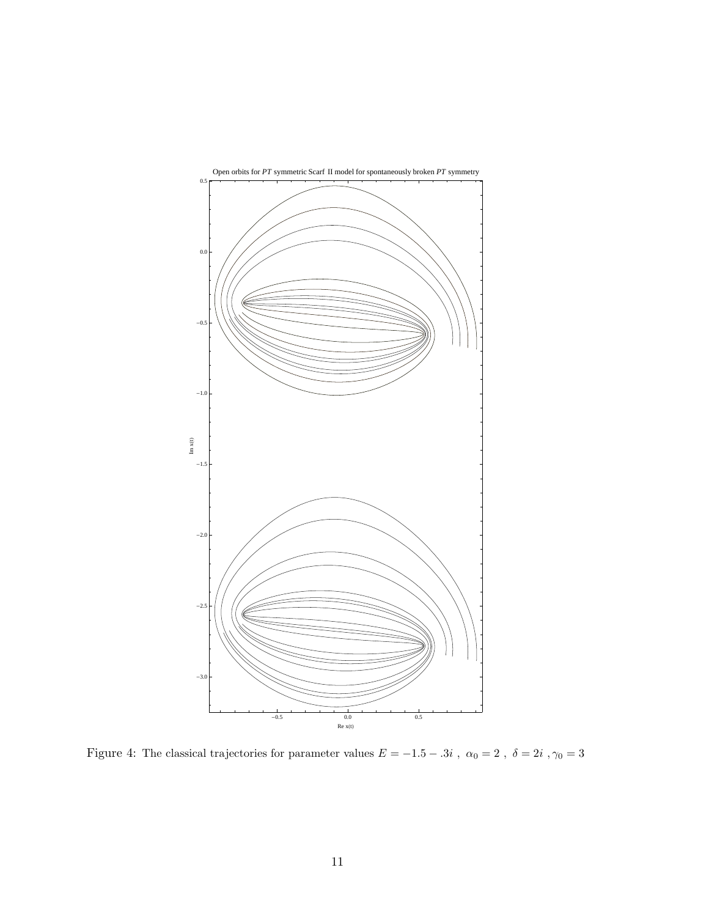

Figure 4: The classical trajectories for parameter values  $E=-1.5-.3i$  ,  $\alpha_0=2$  ,  $\delta=2i$  ,  $\gamma_0=3$